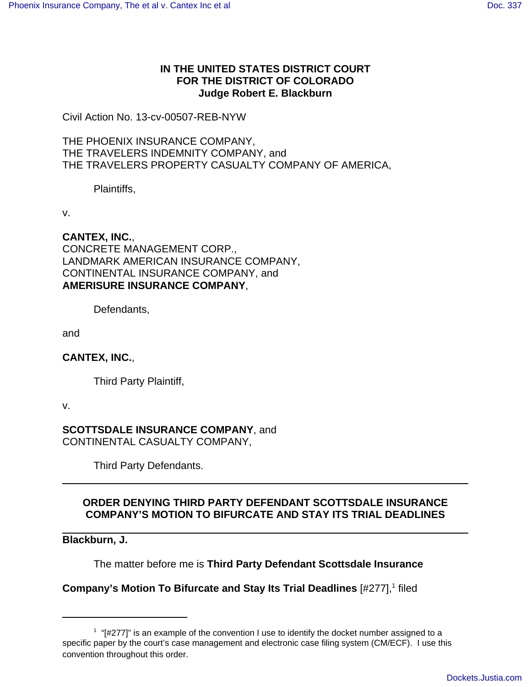## **IN THE UNITED STATES DISTRICT COURT FOR THE DISTRICT OF COLORADO Judge Robert E. Blackburn**

Civil Action No. 13-cv-00507-REB-NYW

THE PHOENIX INSURANCE COMPANY, THE TRAVELERS INDEMNITY COMPANY, and THE TRAVELERS PROPERTY CASUALTY COMPANY OF AMERICA,

Plaintiffs,

v.

**CANTEX, INC.**,

CONCRETE MANAGEMENT CORP., LANDMARK AMERICAN INSURANCE COMPANY, CONTINENTAL INSURANCE COMPANY, and **AMERISURE INSURANCE COMPANY**,

Defendants,

and

**CANTEX, INC.**,

Third Party Plaintiff,

v.

**SCOTTSDALE INSURANCE COMPANY**, and CONTINENTAL CASUALTY COMPANY,

Third Party Defendants.

## **ORDER DENYING THIRD PARTY DEFENDANT SCOTTSDALE INSURANCE COMPANY'S MOTION TO BIFURCATE AND STAY ITS TRIAL DEADLINES**

**Blackburn, J.**

The matter before me is **Third Party Defendant Scottsdale Insurance**

**Company's Motion To Bifurcate and Stay Its Trial Deadlines** [#277],<sup>1</sup> filed

 $1$  "[#277]" is an example of the convention I use to identify the docket number assigned to a specific paper by the court's case management and electronic case filing system (CM/ECF). I use this convention throughout this order.